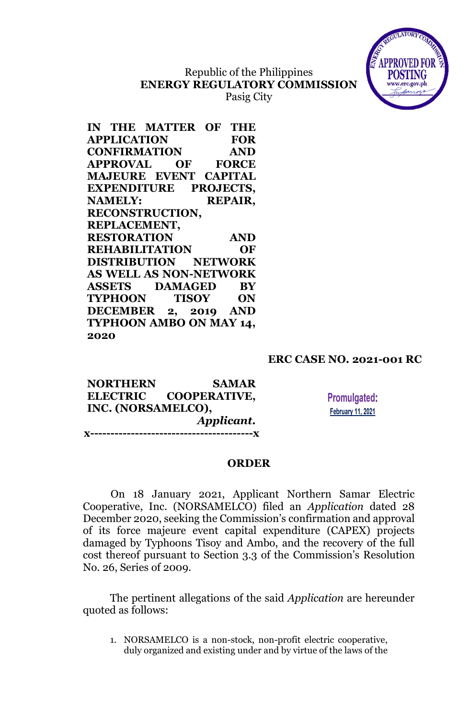# Republic of the Philippines **ENERGY REGULATORY COMMISSION**





| IN THE MATTER OF THE          |                |
|-------------------------------|----------------|
| <b>APPLICATION</b>            | <b>FOR</b>     |
| <b>CONFIRMATION</b>           | <b>AND</b>     |
| <b>APPROVAL OF FORCE</b>      |                |
| <b>MAJEURE EVENT CAPITAL</b>  |                |
| EXPENDITURE PROJECTS,         |                |
| <b>NAMELY:</b>                | <b>REPAIR,</b> |
| <b>RECONSTRUCTION,</b>        |                |
| REPLACEMENT,                  |                |
| <b>RESTORATION</b>            | AND            |
| <b>REHABILITATION</b>         | <b>OF</b>      |
| <b>DISTRIBUTION NETWORK</b>   |                |
| <b>AS WELL AS NON-NETWORK</b> |                |
| ASSETS DAMAGED BY             |                |
| TYPHOON TISOY ON              |                |
| DECEMBER 2, 2019 AND          |                |
| TYPHOON AMBO ON MAY 14,       |                |
| 2020                          |                |

## **ERC CASE NO. 2021-001 RC**

| <b>NORTHERN</b>    | <b>SAMAR</b>                |
|--------------------|-----------------------------|
|                    | ELECTRIC COOPERATIVE,       |
| INC. (NORSAMELCO), |                             |
|                    | Applicant.                  |
| x---               | --------------------------X |

**Promulgated: February 11, 2021** 

## **ORDER**

On 18 January 2021, Applicant Northern Samar Electric Cooperative, Inc. (NORSAMELCO) filed an *Application* dated 28 December 2020, seeking the Commission's confirmation and approval of its force majeure event capital expenditure (CAPEX) projects damaged by Typhoons Tisoy and Ambo, and the recovery of the full cost thereof pursuant to Section 3.3 of the Commission's Resolution No. 26, Series of 2009.

The pertinent allegations of the said *Application* are hereunder quoted as follows:

1. NORSAMELCO is a non-stock, non-profit electric cooperative, duly organized and existing under and by virtue of the laws of the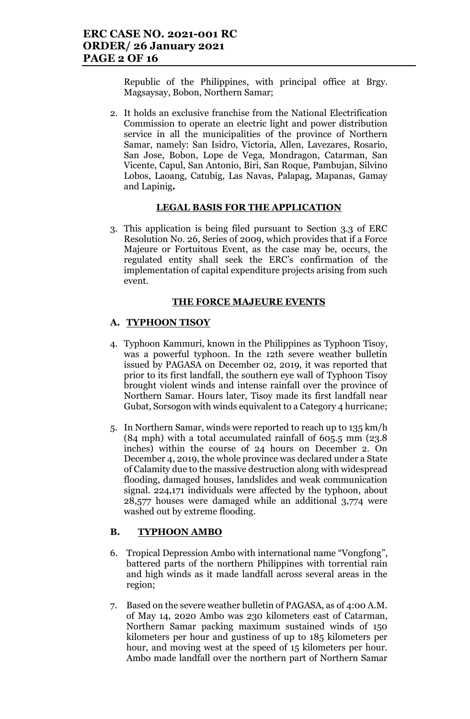Republic of the Philippines, with principal office at Brgy. Magsaysay, Bobon, Northern Samar;

2. It holds an exclusive franchise from the National Electrification Commission to operate an electric light and power distribution service in all the municipalities of the province of Northern Samar, namely: San Isidro, Victoria, Allen, Lavezares, Rosario, San Jose, Bobon, Lope de Vega, Mondragon, Catarman, San Vicente, Capul, San Antonio, Biri, San Roque, Pambujan, Silvino Lobos, Laoang, Catubig, Las Navas, Palapag, Mapanas, Gamay and Lapinig*.*

## **LEGAL BASIS FOR THE APPLICATION**

3. This application is being filed pursuant to Section 3.3 of ERC Resolution No. 26, Series of 2009, which provides that if a Force Majeure or Fortuitous Event, as the case may be, occurs, the regulated entity shall seek the ERC's confirmation of the implementation of capital expenditure projects arising from such event.

## **THE FORCE MAJEURE EVENTS**

## **A. TYPHOON TISOY**

- 4. Typhoon Kammuri, known in the Philippines as Typhoon Tisoy, was a powerful typhoon. In the 12th severe weather bulletin issued by PAGASA on December 02, 2019, it was reported that prior to its first landfall, the southern eye wall of Typhoon Tisoy brought violent winds and intense rainfall over the province of Northern Samar. Hours later, Tisoy made its first landfall near Gubat, Sorsogon with winds equivalent to a Category 4 hurricane;
- 5. In Northern Samar, winds were reported to reach up to 135 km/h (84 mph) with a total accumulated rainfall of 605.5 mm (23.8 inches) within the course of 24 hours on December 2. On December 4, 2019, the whole province was declared under a State of Calamity due to the massive destruction along with widespread flooding, damaged houses, landslides and weak communication signal. 224,171 individuals were affected by the typhoon, about 28,577 houses were damaged while an additional 3,774 were washed out by extreme flooding.

## **B. TYPHOON AMBO**

- 6. Tropical Depression Ambo with international name "Vongfong", battered parts of the northern Philippines with torrential rain and high winds as it made landfall across several areas in the region;
- 7. Based on the severe weather bulletin of PAGASA, as of 4:00 A.M. of May 14, 2020 Ambo was 230 kilometers east of Catarman, Northern Samar packing maximum sustained winds of 150 kilometers per hour and gustiness of up to 185 kilometers per hour, and moving west at the speed of 15 kilometers per hour. Ambo made landfall over the northern part of Northern Samar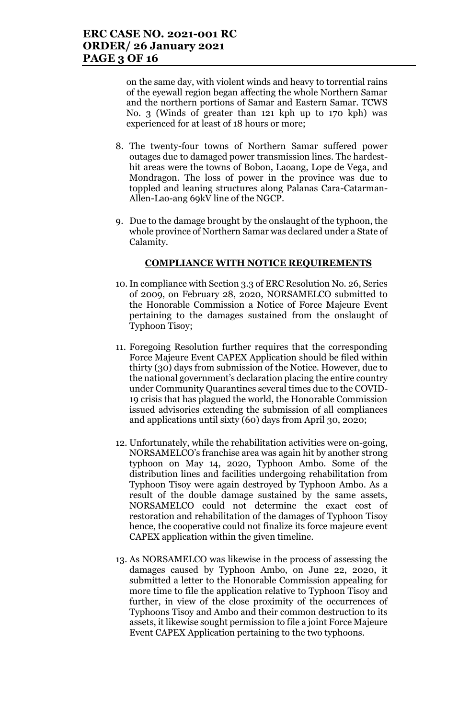on the same day, with violent winds and heavy to torrential rains of the eyewall region began affecting the whole Northern Samar and the northern portions of Samar and Eastern Samar. TCWS No. 3 (Winds of greater than 121 kph up to 170 kph) was experienced for at least of 18 hours or more;

- 8. The twenty-four towns of Northern Samar suffered power outages due to damaged power transmission lines. The hardesthit areas were the towns of Bobon, Laoang, Lope de Vega, and Mondragon. The loss of power in the province was due to toppled and leaning structures along Palanas Cara-Catarman-Allen-Lao-ang 69kV line of the NGCP.
- 9. Due to the damage brought by the onslaught of the typhoon, the whole province of Northern Samar was declared under a State of Calamity.

## **COMPLIANCE WITH NOTICE REQUIREMENTS**

- 10.In compliance with Section 3.3 of ERC Resolution No. 26, Series of 2009, on February 28, 2020, NORSAMELCO submitted to the Honorable Commission a Notice of Force Majeure Event pertaining to the damages sustained from the onslaught of Typhoon Tisoy;
- 11. Foregoing Resolution further requires that the corresponding Force Majeure Event CAPEX Application should be filed within thirty (30) days from submission of the Notice. However, due to the national government's declaration placing the entire country under Community Quarantines several times due to the COVID-19 crisis that has plagued the world, the Honorable Commission issued advisories extending the submission of all compliances and applications until sixty (60) days from April 30, 2020;
- 12. Unfortunately, while the rehabilitation activities were on-going, NORSAMELCO's franchise area was again hit by another strong typhoon on May 14, 2020, Typhoon Ambo. Some of the distribution lines and facilities undergoing rehabilitation from Typhoon Tisoy were again destroyed by Typhoon Ambo. As a result of the double damage sustained by the same assets, NORSAMELCO could not determine the exact cost of restoration and rehabilitation of the damages of Typhoon Tisoy hence, the cooperative could not finalize its force majeure event CAPEX application within the given timeline.
- 13. As NORSAMELCO was likewise in the process of assessing the damages caused by Typhoon Ambo, on June 22, 2020, it submitted a letter to the Honorable Commission appealing for more time to file the application relative to Typhoon Tisoy and further, in view of the close proximity of the occurrences of Typhoons Tisoy and Ambo and their common destruction to its assets, it likewise sought permission to file a joint Force Majeure Event CAPEX Application pertaining to the two typhoons.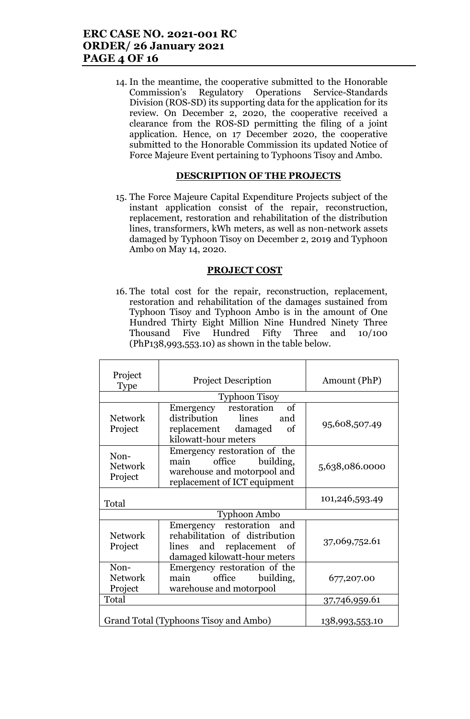## **ERC CASE NO. 2021-001 RC ORDER/ 26 January 2021 PAGE 4 OF 16**

14. In the meantime, the cooperative submitted to the Honorable Commission's Regulatory Operations Service-Standards Division (ROS-SD) its supporting data for the application for its review. On December 2, 2020, the cooperative received a clearance from the ROS-SD permitting the filing of a joint application. Hence, on 17 December 2020, the cooperative submitted to the Honorable Commission its updated Notice of Force Majeure Event pertaining to Typhoons Tisoy and Ambo.

#### **DESCRIPTION OF THE PROJECTS**

15. The Force Majeure Capital Expenditure Projects subject of the instant application consist of the repair, reconstruction, replacement, restoration and rehabilitation of the distribution lines, transformers, kWh meters, as well as non-network assets damaged by Typhoon Tisoy on December 2, 2019 and Typhoon Ambo on May 14, 2020.

#### **PROJECT COST**

16. The total cost for the repair, reconstruction, replacement, restoration and rehabilitation of the damages sustained from Typhoon Tisoy and Typhoon Ambo is in the amount of One Hundred Thirty Eight Million Nine Hundred Ninety Three Thousand Five Hundred Fifty Three and 10/100 (PhP138,993,553.10) as shown in the table below.

| Project<br><b>Type</b>            | <b>Project Description</b>                                                                                                 | Amount (PhP)   |
|-----------------------------------|----------------------------------------------------------------------------------------------------------------------------|----------------|
|                                   | <b>Typhoon Tisoy</b>                                                                                                       |                |
| <b>Network</b><br>Project         | Emergency restoration<br>- of<br>distribution<br>lines<br>and<br>replacement damaged<br>of<br>kilowatt-hour meters         | 95,608,507.49  |
| Non-<br><b>Network</b><br>Project | Emergency restoration of the<br>main<br>office<br>building,<br>warehouse and motorpool and<br>replacement of ICT equipment | 5,638,086.0000 |
| Total                             |                                                                                                                            | 101,246,593.49 |
|                                   | <b>Typhoon Ambo</b>                                                                                                        |                |
| <b>Network</b><br>Project         | Emergency restoration and<br>rehabilitation of distribution<br>lines and replacement of<br>damaged kilowatt-hour meters    | 37,069,752.61  |
| Non-<br><b>Network</b><br>Project | Emergency restoration of the<br>main office<br>building,<br>warehouse and motorpool                                        | 677,207.00     |
| Total                             |                                                                                                                            | 37,746,959.61  |
|                                   | Grand Total (Typhoons Tisoy and Ambo)                                                                                      | 138,993,553.10 |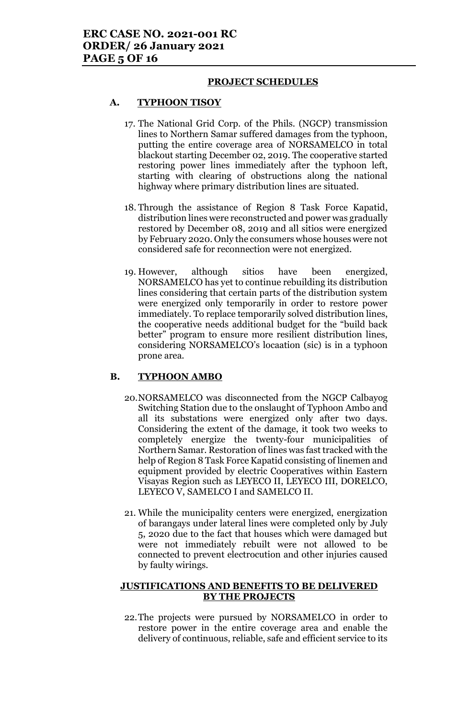#### **PROJECT SCHEDULES**

## **A. TYPHOON TISOY**

- 17. The National Grid Corp. of the Phils. (NGCP) transmission lines to Northern Samar suffered damages from the typhoon, putting the entire coverage area of NORSAMELCO in total blackout starting December 02, 2019. The cooperative started restoring power lines immediately after the typhoon left, starting with clearing of obstructions along the national highway where primary distribution lines are situated.
- 18. Through the assistance of Region 8 Task Force Kapatid, distribution lines were reconstructed and power was gradually restored by December 08, 2019 and all sitios were energized by February 2020. Only the consumers whose houses were not considered safe for reconnection were not energized.
- 19. However, although sitios have been energized, NORSAMELCO has yet to continue rebuilding its distribution lines considering that certain parts of the distribution system were energized only temporarily in order to restore power immediately. To replace temporarily solved distribution lines, the cooperative needs additional budget for the "build back better" program to ensure more resilient distribution lines, considering NORSAMELCO's locaation (sic) is in a typhoon prone area.

## **B. TYPHOON AMBO**

- 20.NORSAMELCO was disconnected from the NGCP Calbayog Switching Station due to the onslaught of Typhoon Ambo and all its substations were energized only after two days. Considering the extent of the damage, it took two weeks to completely energize the twenty-four municipalities of Northern Samar. Restoration of lines was fast tracked with the help of Region 8 Task Force Kapatid consisting of linemen and equipment provided by electric Cooperatives within Eastern Visayas Region such as LEYECO II, LEYECO III, DORELCO, LEYECO V, SAMELCO I and SAMELCO II.
- 21. While the municipality centers were energized, energization of barangays under lateral lines were completed only by July 5, 2020 due to the fact that houses which were damaged but were not immediately rebuilt were not allowed to be connected to prevent electrocution and other injuries caused by faulty wirings.

## **JUSTIFICATIONS AND BENEFITS TO BE DELIVERED BY THE PROJECTS**

22.The projects were pursued by NORSAMELCO in order to restore power in the entire coverage area and enable the delivery of continuous, reliable, safe and efficient service to its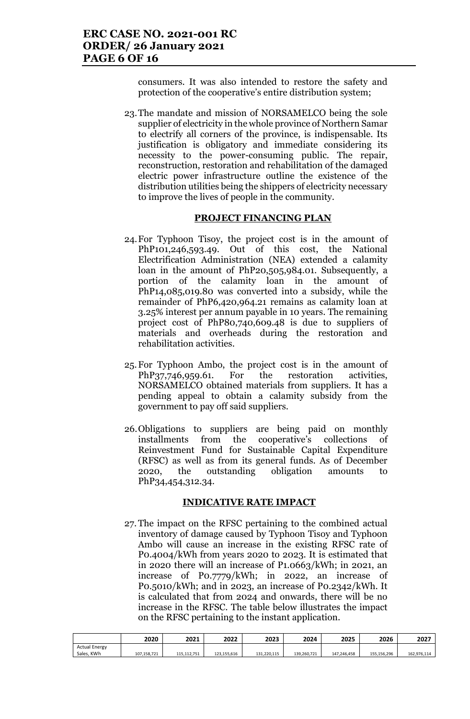consumers. It was also intended to restore the safety and protection of the cooperative's entire distribution system;

23.The mandate and mission of NORSAMELCO being the sole supplier of electricity in the whole province of Northern Samar to electrify all corners of the province, is indispensable. Its justification is obligatory and immediate considering its necessity to the power-consuming public. The repair, reconstruction, restoration and rehabilitation of the damaged electric power infrastructure outline the existence of the distribution utilities being the shippers of electricity necessary to improve the lives of people in the community.

#### **PROJECT FINANCING PLAN**

- 24.For Typhoon Tisoy, the project cost is in the amount of PhP101,246,593.49. Out of this cost, the National Electrification Administration (NEA) extended a calamity loan in the amount of PhP20,505,984.01. Subsequently, a portion of the calamity loan in the amount of PhP14,085,019.80 was converted into a subsidy, while the remainder of PhP6,420,964.21 remains as calamity loan at 3.25% interest per annum payable in 10 years. The remaining project cost of PhP80,740,609.48 is due to suppliers of materials and overheads during the restoration and rehabilitation activities.
- 25.For Typhoon Ambo, the project cost is in the amount of PhP37,746,959.61. For the restoration activities, NORSAMELCO obtained materials from suppliers. It has a pending appeal to obtain a calamity subsidy from the government to pay off said suppliers.
- 26.Obligations to suppliers are being paid on monthly installments from the cooperative's collections of Reinvestment Fund for Sustainable Capital Expenditure (RFSC) as well as from its general funds. As of December 2020, the outstanding obligation amounts to PhP34,454,312.34.

#### **INDICATIVE RATE IMPACT**

27. The impact on the RFSC pertaining to the combined actual inventory of damage caused by Typhoon Tisoy and Typhoon Ambo will cause an increase in the existing RFSC rate of P0.4004/kWh from years 2020 to 2023. It is estimated that in 2020 there will an increase of P1.0663/kWh; in 2021, an increase of P0.7779/kWh; in 2022, an increase of P0.5010/kWh; and in 2023, an increase of P0.2342/kWh. It is calculated that from 2024 and onwards, there will be no increase in the RFSC. The table below illustrates the impact on the RFSC pertaining to the instant application.

|                      | 2020        | 2021        | 2022        | 2023        | 2024        | 2025        | 2026        | 2027        |
|----------------------|-------------|-------------|-------------|-------------|-------------|-------------|-------------|-------------|
| <b>Actual Energy</b> |             |             |             |             |             |             |             |             |
| Sales, KWh           | 107,158,721 | 115.112.751 | 123.155.616 | 131.220.115 | 139.260.721 | 147.246.458 | 155.156.296 | 162,976,114 |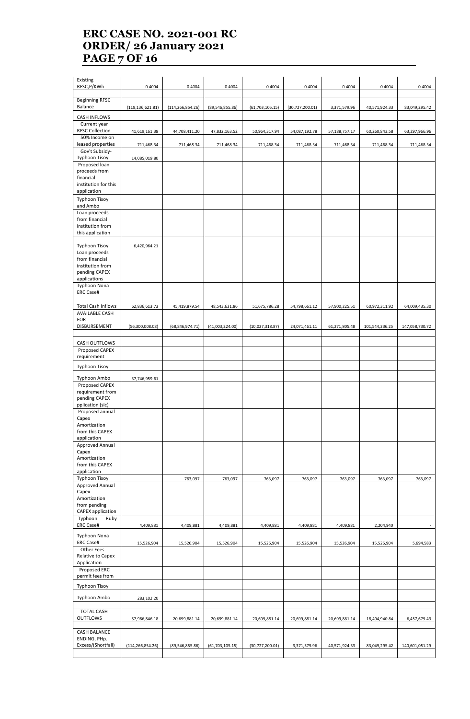## **ERC CASE NO. 2021-001 RC ORDER/ 26 January 2021 PAGE 7 OF 16**

| Existing<br>RFSC, P/KWh                | 0.4004             | 0.4004             | 0.4004            | 0.4004            | 0.4004          | 0.4004        | 0.4004         | 0.4004         |
|----------------------------------------|--------------------|--------------------|-------------------|-------------------|-----------------|---------------|----------------|----------------|
| <b>Beginning RFSC</b><br>Balance       | (119, 136, 621.81) | (114, 266, 854.26) | (89, 546, 855.86) | (61, 703, 105.15) | (30,727,200.01) | 3,371,579.96  | 40,571,924.33  | 83,049,295.42  |
| <b>CASH INFLOWS</b>                    |                    |                    |                   |                   |                 |               |                |                |
| Current year<br><b>RFSC Collection</b> | 41,619,161.38      | 44,708,411.20      | 47,832,163.52     | 50,964,317.94     | 54,087,192.78   | 57,188,757.17 | 60,260,843.58  | 63,297,966.96  |
| 50% Income on                          |                    |                    |                   |                   |                 |               |                |                |
| leased properties                      | 711,468.34         | 711,468.34         | 711,468.34        | 711,468.34        | 711,468.34      | 711,468.34    | 711,468.34     | 711,468.34     |
| Gov't Subsidy-<br><b>Typhoon Tisoy</b> | 14,085,019.80      |                    |                   |                   |                 |               |                |                |
| Proposed loan                          |                    |                    |                   |                   |                 |               |                |                |
| proceeds from                          |                    |                    |                   |                   |                 |               |                |                |
| financial<br>institution for this      |                    |                    |                   |                   |                 |               |                |                |
| application                            |                    |                    |                   |                   |                 |               |                |                |
| <b>Typhoon Tisoy</b><br>and Ambo       |                    |                    |                   |                   |                 |               |                |                |
| Loan proceeds<br>from financial        |                    |                    |                   |                   |                 |               |                |                |
| institution from                       |                    |                    |                   |                   |                 |               |                |                |
| this application                       |                    |                    |                   |                   |                 |               |                |                |
| <b>Typhoon Tisoy</b>                   | 6,420,964.21       |                    |                   |                   |                 |               |                |                |
| Loan proceeds                          |                    |                    |                   |                   |                 |               |                |                |
| from financial                         |                    |                    |                   |                   |                 |               |                |                |
| institution from<br>pending CAPEX      |                    |                    |                   |                   |                 |               |                |                |
| applications                           |                    |                    |                   |                   |                 |               |                |                |
| <b>Typhoon Nona</b>                    |                    |                    |                   |                   |                 |               |                |                |
| <b>ERC Case#</b>                       |                    |                    |                   |                   |                 |               |                |                |
| <b>Total Cash Inflows</b>              | 62,836,613.73      | 45,419,879.54      | 48,543,631.86     | 51,675,786.28     | 54,798,661.12   | 57,900,225.51 | 60,972,311.92  | 64,009,435.30  |
| <b>AVAILABLE CASH</b>                  |                    |                    |                   |                   |                 |               |                |                |
| <b>FOR</b>                             |                    |                    |                   |                   |                 |               |                |                |
| DISBURSEMENT                           | (56, 300, 008.08)  | (68, 846, 974.71)  | (41,003,224.00)   | (10,027,318.87)   | 24,071,461.11   | 61,271,805.48 | 101,544,236.25 | 147,058,730.72 |
| CASH OUTFLOWS                          |                    |                    |                   |                   |                 |               |                |                |
| Proposed CAPEX                         |                    |                    |                   |                   |                 |               |                |                |
| requirement                            |                    |                    |                   |                   |                 |               |                |                |
| <b>Typhoon Tisoy</b>                   |                    |                    |                   |                   |                 |               |                |                |
| Typhoon Ambo                           | 37,746,959.61      |                    |                   |                   |                 |               |                |                |
| Proposed CAPEX                         |                    |                    |                   |                   |                 |               |                |                |
| requirement from<br>pending CAPEX      |                    |                    |                   |                   |                 |               |                |                |
| pplication (sic)                       |                    |                    |                   |                   |                 |               |                |                |
| Proposed annual                        |                    |                    |                   |                   |                 |               |                |                |
| Capex<br>Amortization                  |                    |                    |                   |                   |                 |               |                |                |
| from this CAPEX                        |                    |                    |                   |                   |                 |               |                |                |
| application                            |                    |                    |                   |                   |                 |               |                |                |
| Approved Annual<br>Capex               |                    |                    |                   |                   |                 |               |                |                |
| Amortization                           |                    |                    |                   |                   |                 |               |                |                |
| from this CAPEX                        |                    |                    |                   |                   |                 |               |                |                |
| application<br><b>Typhoon Tisoy</b>    |                    | 763,097            | 763,097           | 763,097           | 763,097         | 763,097       | 763,097        | 763,097        |
| Approved Annual                        |                    |                    |                   |                   |                 |               |                |                |
| Capex                                  |                    |                    |                   |                   |                 |               |                |                |
| Amortization<br>from pending           |                    |                    |                   |                   |                 |               |                |                |
| <b>CAPEX</b> application               |                    |                    |                   |                   |                 |               |                |                |
| Typhoon<br>Ruby<br><b>ERC Case#</b>    | 4,409,881          | 4,409,881          | 4,409,881         | 4,409,881         | 4,409,881       | 4,409,881     | 2,204,940      |                |
|                                        |                    |                    |                   |                   |                 |               |                |                |
| Typhoon Nona<br><b>ERC Case#</b>       | 15,526,904         | 15,526,904         | 15,526,904        | 15,526,904        | 15,526,904      | 15,526,904    | 15,526,904     | 5,694,583      |
| Other Fees                             |                    |                    |                   |                   |                 |               |                |                |
| Relative to Capex                      |                    |                    |                   |                   |                 |               |                |                |
| Application<br>Proposed ERC            |                    |                    |                   |                   |                 |               |                |                |
| permit fees from                       |                    |                    |                   |                   |                 |               |                |                |
| <b>Typhoon Tisoy</b>                   |                    |                    |                   |                   |                 |               |                |                |
| Typhoon Ambo                           | 283,102.20         |                    |                   |                   |                 |               |                |                |
|                                        |                    |                    |                   |                   |                 |               |                |                |
| <b>TOTAL CASH</b>                      |                    |                    |                   |                   |                 |               |                |                |
| <b>OUTFLOWS</b>                        | 57,966,846.18      | 20,699,881.14      | 20,699,881.14     | 20,699,881.14     | 20,699,881.14   | 20,699,881.14 | 18,494,940.84  | 6,457,679.43   |
| <b>CASH BALANCE</b>                    |                    |                    |                   |                   |                 |               |                |                |
| ENDING, PHp.                           |                    |                    |                   |                   |                 |               |                |                |
| Excess/(Shortfall)                     | (114, 266, 854.26) | (89, 546, 855.86)  | (61, 703, 105.15) | (30,727,200.01)   | 3,371,579.96    | 40,571,924.33 | 83,049,295.42  | 140,601,051.29 |
|                                        |                    |                    |                   |                   |                 |               |                |                |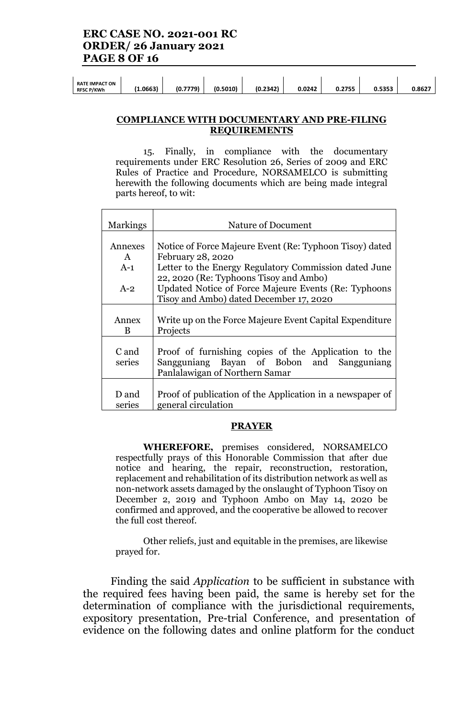| (0.5010)<br>(0.2342)<br>.0663<br>0.5353<br>7770<br>0.0242<br>0.2755<br>(٥.<br><b>RFSC P/KWh</b><br>73 | <b>RATE IMPACT ON</b> |  |  |  |  |  |  |  | 0.8627 |
|-------------------------------------------------------------------------------------------------------|-----------------------|--|--|--|--|--|--|--|--------|
|-------------------------------------------------------------------------------------------------------|-----------------------|--|--|--|--|--|--|--|--------|

#### **COMPLIANCE WITH DOCUMENTARY AND PRE-FILING REQUIREMENTS**

15. Finally, in compliance with the documentary requirements under ERC Resolution 26, Series of 2009 and ERC Rules of Practice and Procedure, NORSAMELCO is submitting herewith the following documents which are being made integral parts hereof, to wit:

| <b>Markings</b> | Nature of Document                                        |
|-----------------|-----------------------------------------------------------|
|                 |                                                           |
| Annexes         | Notice of Force Majeure Event (Re: Typhoon Tisoy) dated   |
| $\mathsf{A}$    | February 28, 2020                                         |
| $A-1$           | Letter to the Energy Regulatory Commission dated June     |
|                 | 22, 2020 (Re: Typhoons Tisoy and Ambo)                    |
| $A-2$           | Updated Notice of Force Majeure Events (Re: Typhoons      |
|                 | Tisoy and Ambo) dated December 17, 2020                   |
|                 |                                                           |
| Annex           | Write up on the Force Majeure Event Capital Expenditure   |
| B               | Projects                                                  |
|                 |                                                           |
| C and           | Proof of furnishing copies of the Application to the      |
| series          | Sangguniang Bayan of Bobon and Sangguniang                |
|                 | Panlalawigan of Northern Samar                            |
|                 |                                                           |
| D and           | Proof of publication of the Application in a newspaper of |
| series          | general circulation                                       |

#### **PRAYER**

**WHEREFORE,** premises considered, NORSAMELCO respectfully prays of this Honorable Commission that after due notice and hearing, the repair, reconstruction, restoration, replacement and rehabilitation of its distribution network as well as non-network assets damaged by the onslaught of Typhoon Tisoy on December 2, 2019 and Typhoon Ambo on May 14, 2020 be confirmed and approved, and the cooperative be allowed to recover the full cost thereof.

Other reliefs, just and equitable in the premises, are likewise prayed for.

Finding the said *Application* to be sufficient in substance with the required fees having been paid, the same is hereby set for the determination of compliance with the jurisdictional requirements, expository presentation, Pre-trial Conference, and presentation of evidence on the following dates and online platform for the conduct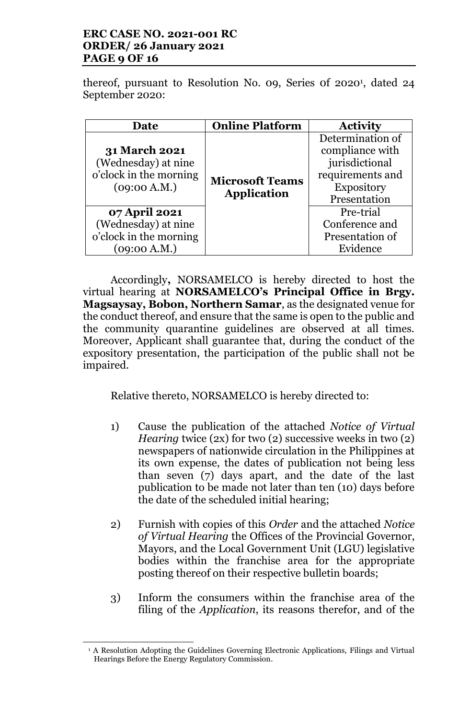## **ERC CASE NO. 2021-001 RC ORDER/ 26 January 2021 PAGE 9 OF 16**

thereof, pursuant to Resolution No. 09, Series 0f 2020<sup>1</sup> , dated 24 September 2020:

| <b>Date</b>                                                                                            | <b>Online Platform</b>                       | <b>Activity</b>                                                                                                             |
|--------------------------------------------------------------------------------------------------------|----------------------------------------------|-----------------------------------------------------------------------------------------------------------------------------|
| <b>31 March 2021</b><br>(Wednesday) at nine<br>o'clock in the morning<br>(09:00 A.M.)<br>07 April 2021 | <b>Microsoft Teams</b><br><b>Application</b> | Determination of<br>compliance with<br>jurisdictional<br>requirements and<br><b>Expository</b><br>Presentation<br>Pre-trial |
| (Wednesday) at nine<br>o'clock in the morning<br>(09:00 A.M.)                                          |                                              | Conference and<br>Presentation of<br>Evidence                                                                               |

Accordingly**,** NORSAMELCO is hereby directed to host the virtual hearing at **NORSAMELCO's Principal Office in Brgy. Magsaysay, Bobon, Northern Samar**, as the designated venue for the conduct thereof, and ensure that the same is open to the public and the community quarantine guidelines are observed at all times. Moreover, Applicant shall guarantee that, during the conduct of the expository presentation, the participation of the public shall not be impaired.

Relative thereto, NORSAMELCO is hereby directed to:

- 1) Cause the publication of the attached *Notice of Virtual Hearing* twice (2x) for two (2) successive weeks in two (2) newspapers of nationwide circulation in the Philippines at its own expense, the dates of publication not being less than seven (7) days apart, and the date of the last publication to be made not later than ten (10) days before the date of the scheduled initial hearing;
- 2) Furnish with copies of this *Order* and the attached *Notice of Virtual Hearing* the Offices of the Provincial Governor, Mayors, and the Local Government Unit (LGU) legislative bodies within the franchise area for the appropriate posting thereof on their respective bulletin boards;
- 3) Inform the consumers within the franchise area of the filing of the *Application*, its reasons therefor, and of the

 $\overline{\phantom{a}}$ 

<sup>&</sup>lt;sup>1</sup> A Resolution Adopting the Guidelines Governing Electronic Applications, Filings and Virtual Hearings Before the Energy Regulatory Commission.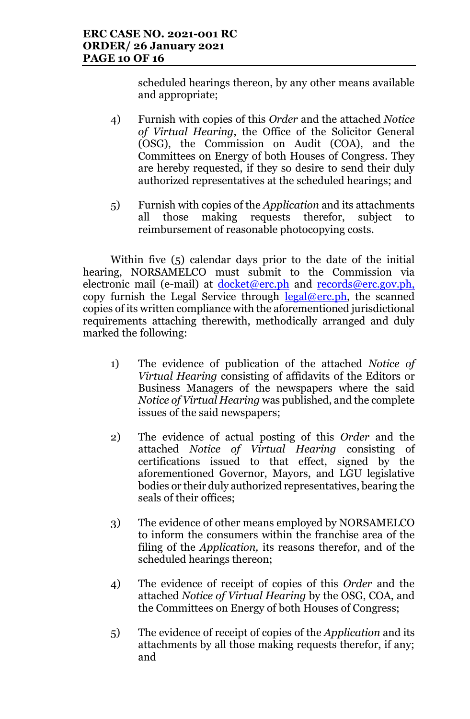scheduled hearings thereon, by any other means available and appropriate;

- 4) Furnish with copies of this *Order* and the attached *Notice of Virtual Hearing*, the Office of the Solicitor General (OSG), the Commission on Audit (COA), and the Committees on Energy of both Houses of Congress. They are hereby requested, if they so desire to send their duly authorized representatives at the scheduled hearings; and
- 5) Furnish with copies of the *Application* and its attachments all those making requests therefor, subject to reimbursement of reasonable photocopying costs.

Within five (5) calendar days prior to the date of the initial hearing, NORSAMELCO must submit to the Commission via electronic mail (e-mail) at docket@erc.ph and records@erc.gov.ph, copy furnish the Legal Service through  $\frac{\text{legal@erc.ph}}{\text{legal@erc.ph}}$ , the scanned copies of its written compliance with the aforementioned jurisdictional requirements attaching therewith, methodically arranged and duly marked the following:

- 1) The evidence of publication of the attached *Notice of Virtual Hearing* consisting of affidavits of the Editors or Business Managers of the newspapers where the said *Notice of Virtual Hearing* was published, and the complete issues of the said newspapers;
- 2) The evidence of actual posting of this *Order* and the attached *Notice of Virtual Hearing* consisting of certifications issued to that effect, signed by the aforementioned Governor, Mayors, and LGU legislative bodies or their duly authorized representatives, bearing the seals of their offices;
- 3) The evidence of other means employed by NORSAMELCO to inform the consumers within the franchise area of the filing of the *Application,* its reasons therefor, and of the scheduled hearings thereon;
- 4) The evidence of receipt of copies of this *Order* and the attached *Notice of Virtual Hearing* by the OSG, COA, and the Committees on Energy of both Houses of Congress;
- 5) The evidence of receipt of copies of the *Application* and its attachments by all those making requests therefor, if any; and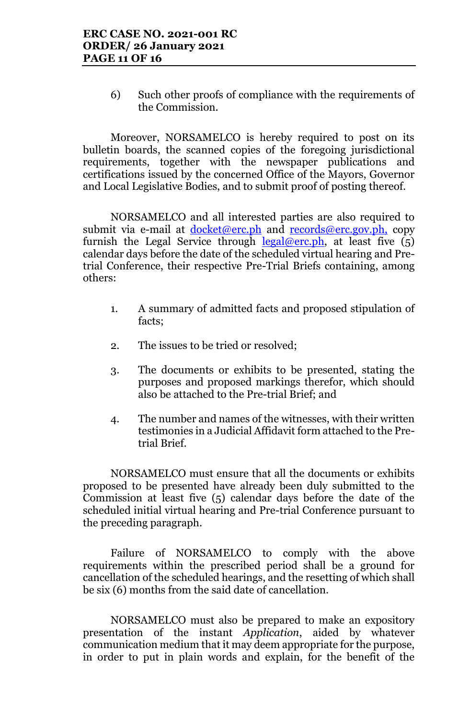6) Such other proofs of compliance with the requirements of the Commission.

Moreover, NORSAMELCO is hereby required to post on its bulletin boards, the scanned copies of the foregoing jurisdictional requirements, together with the newspaper publications and certifications issued by the concerned Office of the Mayors, Governor and Local Legislative Bodies, and to submit proof of posting thereof.

NORSAMELCO and all interested parties are also required to submit via e-mail at <u>docket@erc.ph</u> and records@erc.gov.ph, copy furnish the Legal Service through  $\frac{\text{legal@erc.ph}}{\text{legal@erc.ph}}$ , at least five (5) calendar days before the date of the scheduled virtual hearing and Pretrial Conference, their respective Pre-Trial Briefs containing, among others:

- 1. A summary of admitted facts and proposed stipulation of facts;
- 2. The issues to be tried or resolved;
- 3. The documents or exhibits to be presented, stating the purposes and proposed markings therefor, which should also be attached to the Pre-trial Brief; and
- 4. The number and names of the witnesses, with their written testimonies in a Judicial Affidavit form attached to the Pretrial Brief.

NORSAMELCO must ensure that all the documents or exhibits proposed to be presented have already been duly submitted to the Commission at least five (5) calendar days before the date of the scheduled initial virtual hearing and Pre-trial Conference pursuant to the preceding paragraph.

Failure of NORSAMELCO to comply with the above requirements within the prescribed period shall be a ground for cancellation of the scheduled hearings, and the resetting of which shall be six (6) months from the said date of cancellation.

NORSAMELCO must also be prepared to make an expository presentation of the instant *Application*, aided by whatever communication medium that it may deem appropriate for the purpose, in order to put in plain words and explain, for the benefit of the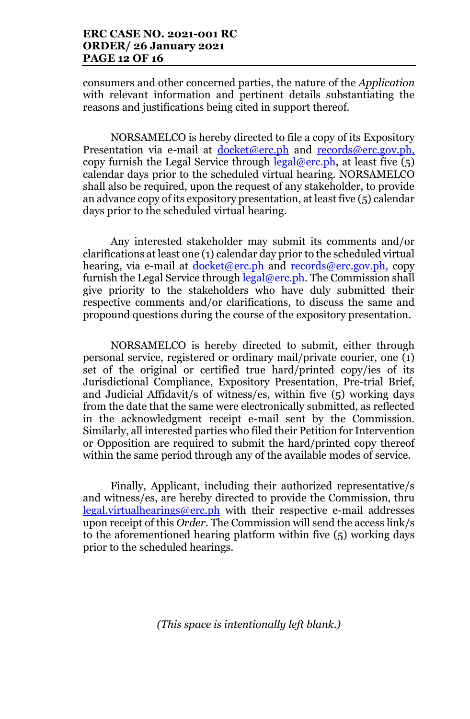consumers and other concerned parties, the nature of the *Application* with relevant information and pertinent details substantiating the reasons and justifications being cited in support thereof.

NORSAMELCO is hereby directed to file a copy of its Expository Presentation via e-mail at docket@erc.ph and records@erc.gov.ph, copy furnish the Legal Service through  $\text{legal@erc.ph.}$  at least five  $(5)$ calendar days prior to the scheduled virtual hearing. NORSAMELCO shall also be required, upon the request of any stakeholder, to provide an advance copy of its expository presentation, at least five (5) calendar days prior to the scheduled virtual hearing.

Any interested stakeholder may submit its comments and/or clarifications at least one (1) calendar day prior to the scheduled virtual hearing, via e-mail at <u>docket@erc.ph</u> and records@erc.gov.ph, copy furnish the Legal Service through  $\text{legal@erc.ph.}$  The Commission shall give priority to the stakeholders who have duly submitted their respective comments and/or clarifications, to discuss the same and propound questions during the course of the expository presentation.

NORSAMELCO is hereby directed to submit, either through personal service, registered or ordinary mail/private courier, one (1) set of the original or certified true hard/printed copy/ies of its Jurisdictional Compliance, Expository Presentation, Pre-trial Brief, and Judicial Affidavit/s of witness/es, within five (5) working days from the date that the same were electronically submitted, as reflected in the acknowledgment receipt e-mail sent by the Commission. Similarly, all interested parties who filed their Petition for Intervention or Opposition are required to submit the hard/printed copy thereof within the same period through any of the available modes of service.

Finally, Applicant, including their authorized representative/s and witness/es, are hereby directed to provide the Commission, thru legal.virtualhearings@erc.ph with their respective e-mail addresses upon receipt of this *Order*. The Commission will send the access link/s to the aforementioned hearing platform within five (5) working days prior to the scheduled hearings.

*(This space is intentionally left blank.)*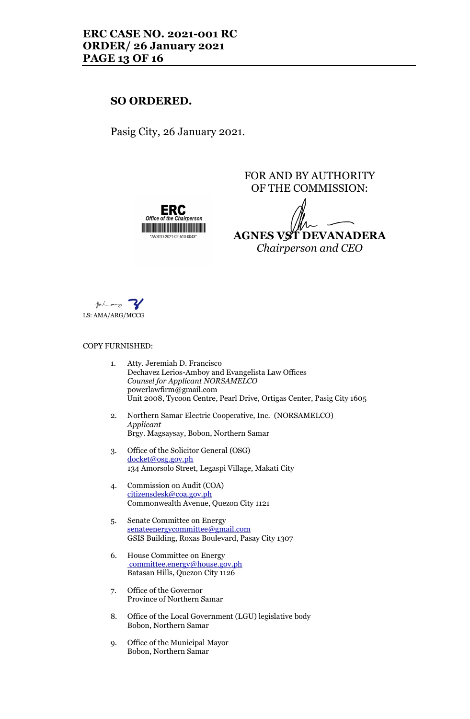## **SO ORDERED.**

Pasig City, 26 January 2021.

FOR AND BY AUTHORITY OF THE COMMISSION:

**AGNES VST DEVANADERA**

*Chairperson and CEO*

<u> Liberaldo de la contrada de la contrada de la con</u> \*AVSTD-2021-02-510-0043\*

LS: AMA/ARG/MCCG

#### COPY FURNISHED:

- 1. Atty. Jeremiah D. Francisco Dechavez Lerios-Amboy and Evangelista Law Offices *Counsel for Applicant NORSAMELCO* powerlawfirm@gmail.com Unit 2008, Tycoon Centre, Pearl Drive, Ortigas Center, Pasig City 1605 2. Northern Samar Electric Cooperative, Inc. (NORSAMELCO) *Applicant* Brgy. Magsaysay, Bobon, Northern Samar 3. Office of the Solicitor General (OSG)
	- docket@osg.gov.ph 134 Amorsolo Street, Legaspi Village, Makati City
- 4. Commission on Audit (COA) citizensdesk@coa.gov.ph Commonwealth Avenue, Quezon City 1121
- 5. Senate Committee on Energy senateenergycommittee@gmail.com GSIS Building, Roxas Boulevard, Pasay City 1307
- 6. House Committee on Energy committee.energy@house.gov.ph Batasan Hills, Quezon City 1126
- 7. Office of the Governor Province of Northern Samar
- 8. Office of the Local Government (LGU) legislative body Bobon, Northern Samar
- 9. Office of the Municipal Mayor Bobon, Northern Samar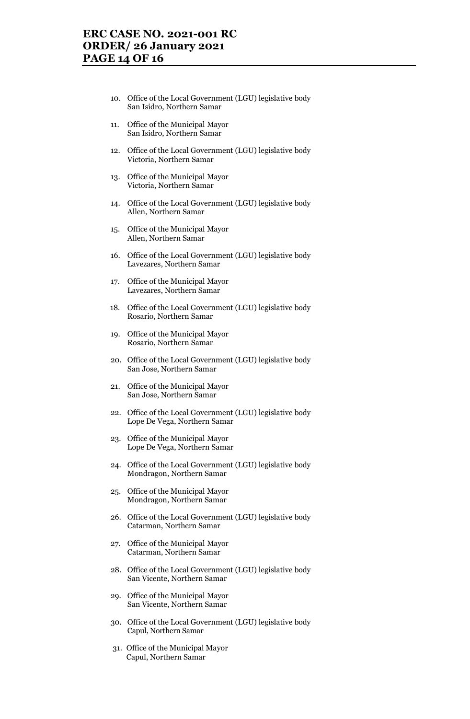- 10. Office of the Local Government (LGU) legislative body San Isidro, Northern Samar
- 11. Office of the Municipal Mayor San Isidro, Northern Samar
- 12. Office of the Local Government (LGU) legislative body Victoria, Northern Samar
- 13. Office of the Municipal Mayor Victoria, Northern Samar
- 14. Office of the Local Government (LGU) legislative body Allen, Northern Samar
- 15. Office of the Municipal Mayor Allen, Northern Samar
- 16. Office of the Local Government (LGU) legislative body Lavezares, Northern Samar
- 17. Office of the Municipal Mayor Lavezares, Northern Samar
- 18. Office of the Local Government (LGU) legislative body Rosario, Northern Samar
- 19. Office of the Municipal Mayor Rosario, Northern Samar
- 20. Office of the Local Government (LGU) legislative body San Jose, Northern Samar
- 21. Office of the Municipal Mayor San Jose, Northern Samar
- 22. Office of the Local Government (LGU) legislative body Lope De Vega, Northern Samar
- 23. Office of the Municipal Mayor Lope De Vega, Northern Samar
- 24. Office of the Local Government (LGU) legislative body Mondragon, Northern Samar
- 25. Office of the Municipal Mayor Mondragon, Northern Samar
- 26. Office of the Local Government (LGU) legislative body Catarman, Northern Samar
- 27. Office of the Municipal Mayor Catarman, Northern Samar
- 28. Office of the Local Government (LGU) legislative body San Vicente, Northern Samar
- 29. Office of the Municipal Mayor San Vicente, Northern Samar
- 30. Office of the Local Government (LGU) legislative body Capul, Northern Samar
- 31. Office of the Municipal Mayor Capul, Northern Samar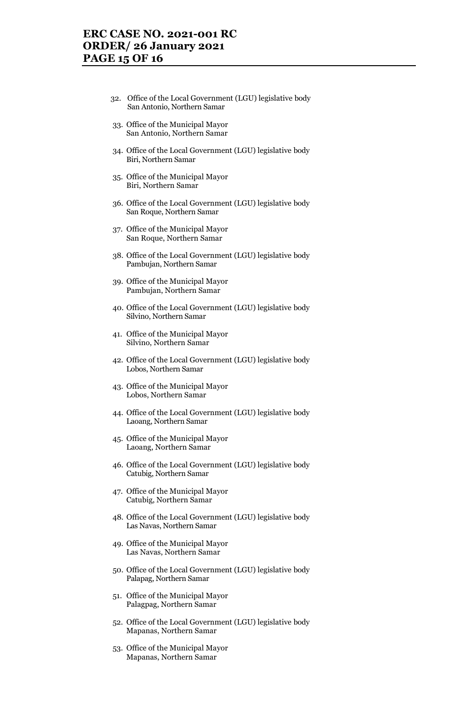## **ERC CASE NO. 2021-001 RC ORDER/ 26 January 2021 PAGE 15 OF 16**

- 32. Office of the Local Government (LGU) legislative body San Antonio, Northern Samar
- 33. Office of the Municipal Mayor San Antonio, Northern Samar
- 34. Office of the Local Government (LGU) legislative body Biri, Northern Samar
- 35. Office of the Municipal Mayor Biri, Northern Samar
- 36. Office of the Local Government (LGU) legislative body San Roque, Northern Samar
- 37. Office of the Municipal Mayor San Roque, Northern Samar
- 38. Office of the Local Government (LGU) legislative body Pambujan, Northern Samar
- 39. Office of the Municipal Mayor Pambujan, Northern Samar
- 40. Office of the Local Government (LGU) legislative body Silvino, Northern Samar
- 41. Office of the Municipal Mayor Silvino, Northern Samar
- 42. Office of the Local Government (LGU) legislative body Lobos, Northern Samar
- 43. Office of the Municipal Mayor Lobos, Northern Samar
- 44. Office of the Local Government (LGU) legislative body Laoang, Northern Samar
- 45. Office of the Municipal Mayor Laoang, Northern Samar
- 46. Office of the Local Government (LGU) legislative body Catubig, Northern Samar
- 47. Office of the Municipal Mayor Catubig, Northern Samar
- 48. Office of the Local Government (LGU) legislative body Las Navas, Northern Samar
- 49. Office of the Municipal Mayor Las Navas, Northern Samar
- 50. Office of the Local Government (LGU) legislative body Palapag, Northern Samar
- 51. Office of the Municipal Mayor Palagpag, Northern Samar
- 52. Office of the Local Government (LGU) legislative body Mapanas, Northern Samar
- 53. Office of the Municipal Mayor Mapanas, Northern Samar